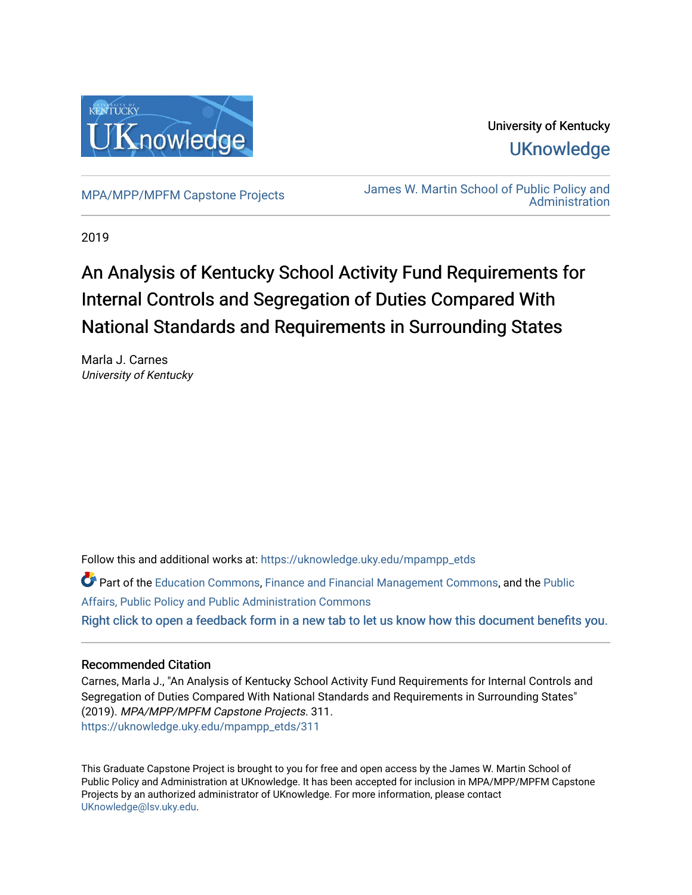

# University of Kentucky **UKnowledge**

[MPA/MPP/MPFM Capstone Projects](https://uknowledge.uky.edu/mpampp_etds) James W. Martin School of Public Policy and [Administration](https://uknowledge.uky.edu/msppa) 

2019

# An Analysis of Kentucky School Activity Fund Requirements for Internal Controls and Segregation of Duties Compared With National Standards and Requirements in Surrounding States

Marla J. Carnes University of Kentucky

Follow this and additional works at: [https://uknowledge.uky.edu/mpampp\\_etds](https://uknowledge.uky.edu/mpampp_etds?utm_source=uknowledge.uky.edu%2Fmpampp_etds%2F311&utm_medium=PDF&utm_campaign=PDFCoverPages)

Part of the [Education Commons](http://network.bepress.com/hgg/discipline/784?utm_source=uknowledge.uky.edu%2Fmpampp_etds%2F311&utm_medium=PDF&utm_campaign=PDFCoverPages), [Finance and Financial Management Commons](http://network.bepress.com/hgg/discipline/631?utm_source=uknowledge.uky.edu%2Fmpampp_etds%2F311&utm_medium=PDF&utm_campaign=PDFCoverPages), and the [Public](http://network.bepress.com/hgg/discipline/393?utm_source=uknowledge.uky.edu%2Fmpampp_etds%2F311&utm_medium=PDF&utm_campaign=PDFCoverPages)  [Affairs, Public Policy and Public Administration Commons](http://network.bepress.com/hgg/discipline/393?utm_source=uknowledge.uky.edu%2Fmpampp_etds%2F311&utm_medium=PDF&utm_campaign=PDFCoverPages) [Right click to open a feedback form in a new tab to let us know how this document benefits you.](https://uky.az1.qualtrics.com/jfe/form/SV_9mq8fx2GnONRfz7)

# Recommended Citation

Carnes, Marla J., "An Analysis of Kentucky School Activity Fund Requirements for Internal Controls and Segregation of Duties Compared With National Standards and Requirements in Surrounding States" (2019). MPA/MPP/MPFM Capstone Projects. 311. [https://uknowledge.uky.edu/mpampp\\_etds/311](https://uknowledge.uky.edu/mpampp_etds/311?utm_source=uknowledge.uky.edu%2Fmpampp_etds%2F311&utm_medium=PDF&utm_campaign=PDFCoverPages)

This Graduate Capstone Project is brought to you for free and open access by the James W. Martin School of Public Policy and Administration at UKnowledge. It has been accepted for inclusion in MPA/MPP/MPFM Capstone Projects by an authorized administrator of UKnowledge. For more information, please contact [UKnowledge@lsv.uky.edu.](mailto:UKnowledge@lsv.uky.edu)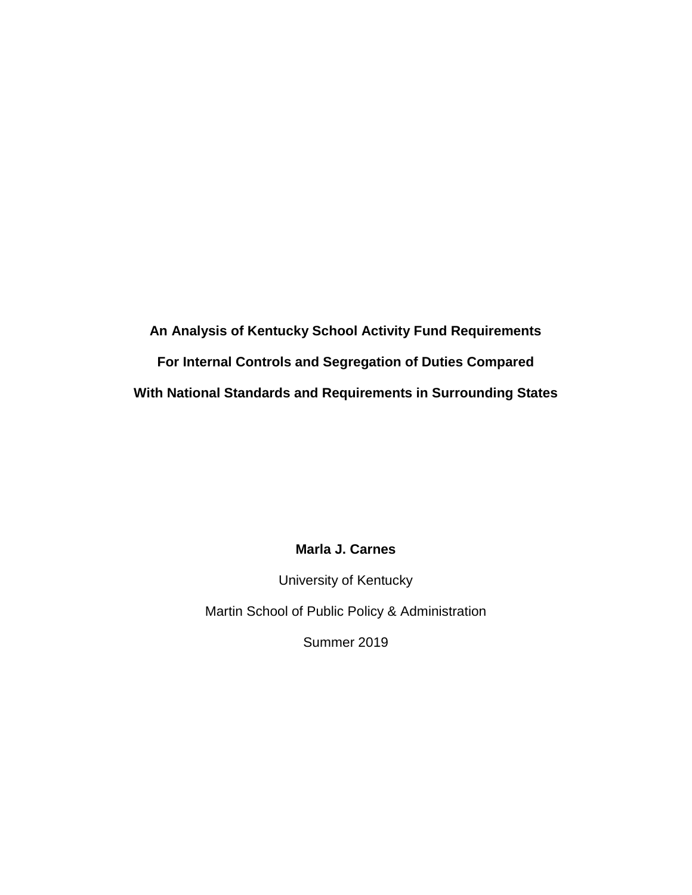**An Analysis of Kentucky School Activity Fund Requirements For Internal Controls and Segregation of Duties Compared With National Standards and Requirements in Surrounding States**

# **Marla J. Carnes**

University of Kentucky

Martin School of Public Policy & Administration

Summer 2019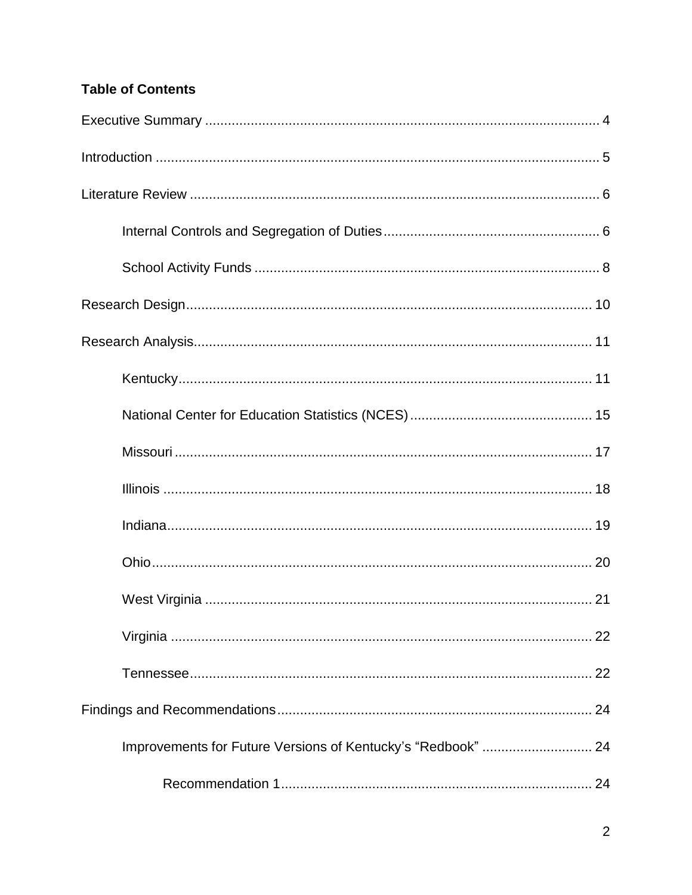# **Table of Contents**

| Improvements for Future Versions of Kentucky's "Redbook"  24 |
|--------------------------------------------------------------|
|                                                              |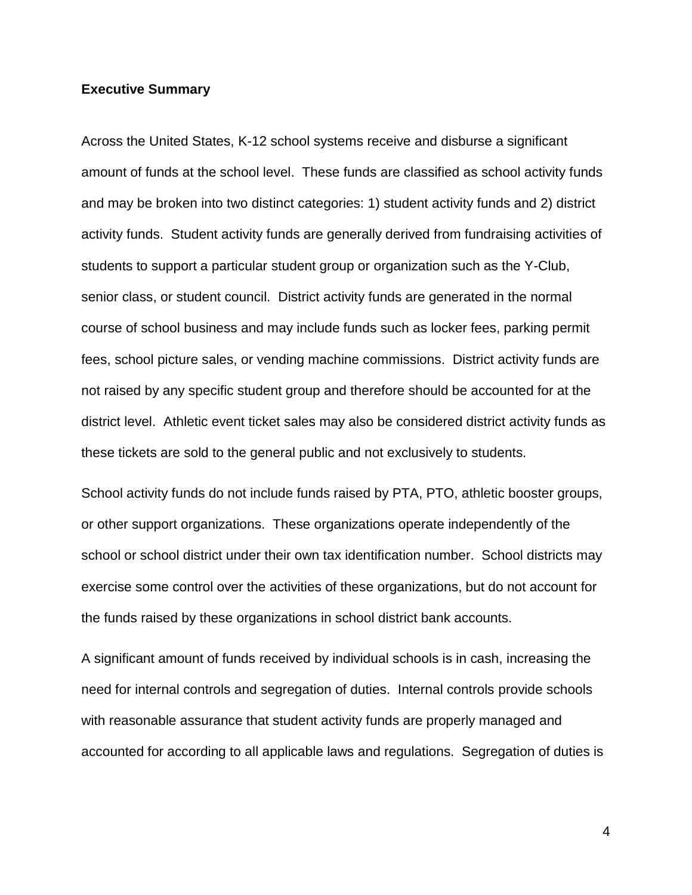#### **Executive Summary**

Across the United States, K-12 school systems receive and disburse a significant amount of funds at the school level. These funds are classified as school activity funds and may be broken into two distinct categories: 1) student activity funds and 2) district activity funds. Student activity funds are generally derived from fundraising activities of students to support a particular student group or organization such as the Y-Club, senior class, or student council. District activity funds are generated in the normal course of school business and may include funds such as locker fees, parking permit fees, school picture sales, or vending machine commissions. District activity funds are not raised by any specific student group and therefore should be accounted for at the district level. Athletic event ticket sales may also be considered district activity funds as these tickets are sold to the general public and not exclusively to students.

School activity funds do not include funds raised by PTA, PTO, athletic booster groups, or other support organizations. These organizations operate independently of the school or school district under their own tax identification number. School districts may exercise some control over the activities of these organizations, but do not account for the funds raised by these organizations in school district bank accounts.

A significant amount of funds received by individual schools is in cash, increasing the need for internal controls and segregation of duties. Internal controls provide schools with reasonable assurance that student activity funds are properly managed and accounted for according to all applicable laws and regulations. Segregation of duties is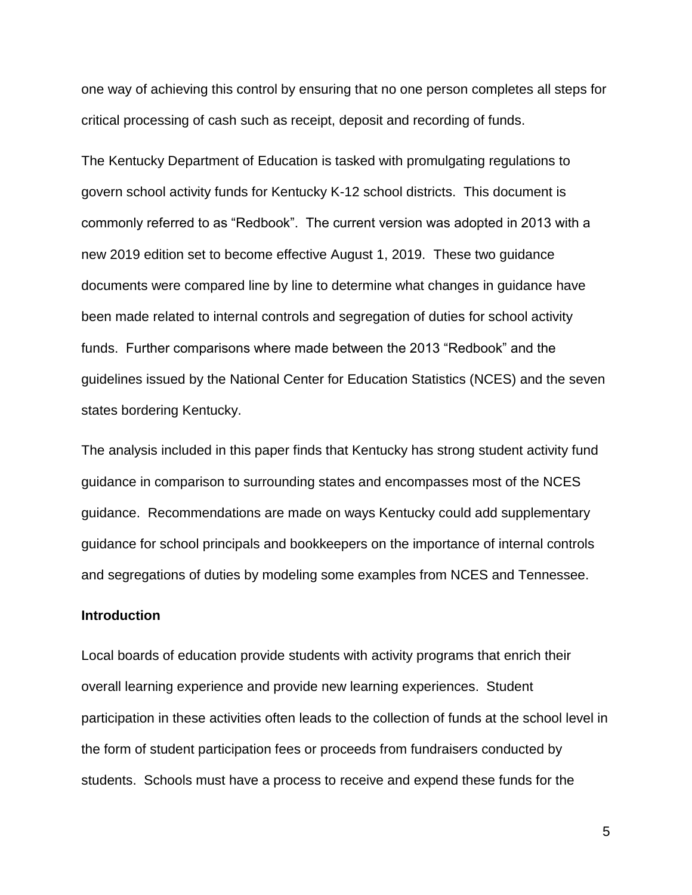one way of achieving this control by ensuring that no one person completes all steps for critical processing of cash such as receipt, deposit and recording of funds.

The Kentucky Department of Education is tasked with promulgating regulations to govern school activity funds for Kentucky K-12 school districts. This document is commonly referred to as "Redbook". The current version was adopted in 2013 with a new 2019 edition set to become effective August 1, 2019. These two guidance documents were compared line by line to determine what changes in guidance have been made related to internal controls and segregation of duties for school activity funds. Further comparisons where made between the 2013 "Redbook" and the guidelines issued by the National Center for Education Statistics (NCES) and the seven states bordering Kentucky.

The analysis included in this paper finds that Kentucky has strong student activity fund guidance in comparison to surrounding states and encompasses most of the NCES guidance. Recommendations are made on ways Kentucky could add supplementary guidance for school principals and bookkeepers on the importance of internal controls and segregations of duties by modeling some examples from NCES and Tennessee.

# **Introduction**

Local boards of education provide students with activity programs that enrich their overall learning experience and provide new learning experiences. Student participation in these activities often leads to the collection of funds at the school level in the form of student participation fees or proceeds from fundraisers conducted by students. Schools must have a process to receive and expend these funds for the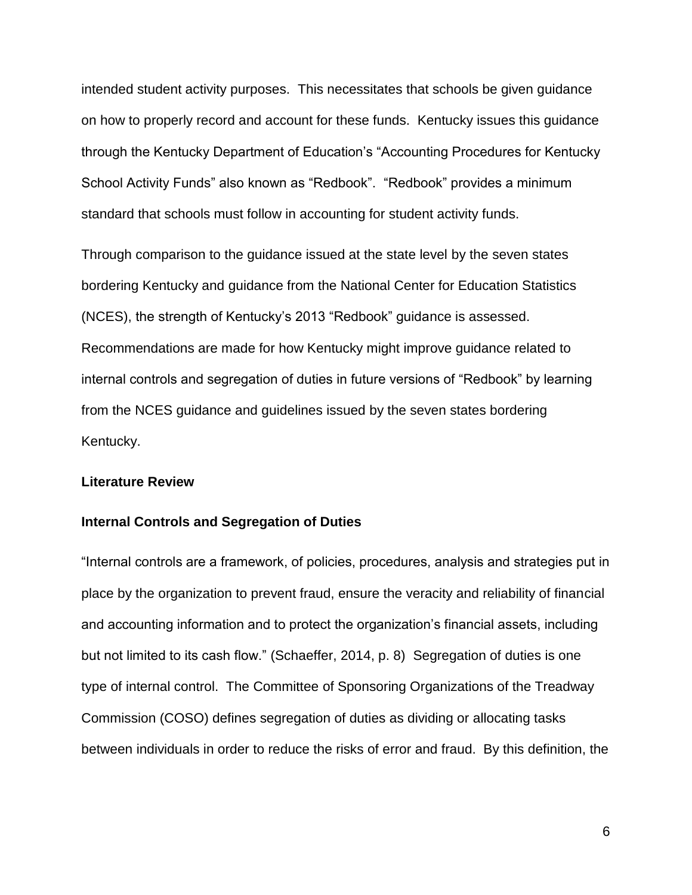intended student activity purposes. This necessitates that schools be given guidance on how to properly record and account for these funds. Kentucky issues this guidance through the Kentucky Department of Education's "Accounting Procedures for Kentucky School Activity Funds" also known as "Redbook". "Redbook" provides a minimum standard that schools must follow in accounting for student activity funds.

Through comparison to the guidance issued at the state level by the seven states bordering Kentucky and guidance from the National Center for Education Statistics (NCES), the strength of Kentucky's 2013 "Redbook" guidance is assessed. Recommendations are made for how Kentucky might improve guidance related to internal controls and segregation of duties in future versions of "Redbook" by learning from the NCES guidance and guidelines issued by the seven states bordering Kentucky.

# **Literature Review**

#### **Internal Controls and Segregation of Duties**

"Internal controls are a framework, of policies, procedures, analysis and strategies put in place by the organization to prevent fraud, ensure the veracity and reliability of financial and accounting information and to protect the organization's financial assets, including but not limited to its cash flow." (Schaeffer, 2014, p. 8) Segregation of duties is one type of internal control. The Committee of Sponsoring Organizations of the Treadway Commission (COSO) defines segregation of duties as dividing or allocating tasks between individuals in order to reduce the risks of error and fraud. By this definition, the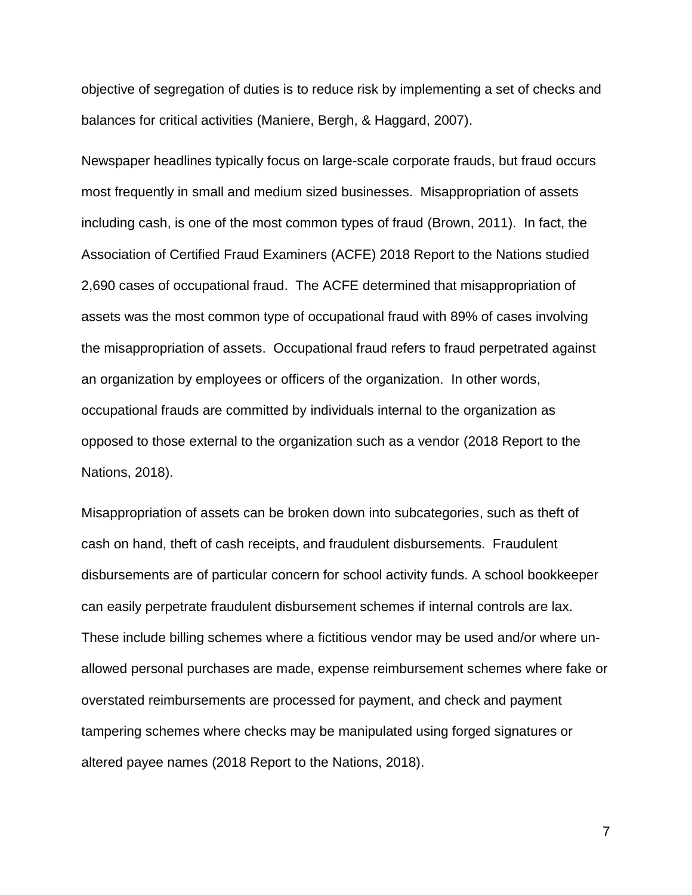objective of segregation of duties is to reduce risk by implementing a set of checks and balances for critical activities (Maniere, Bergh, & Haggard, 2007).

Newspaper headlines typically focus on large-scale corporate frauds, but fraud occurs most frequently in small and medium sized businesses. Misappropriation of assets including cash, is one of the most common types of fraud (Brown, 2011). In fact, the Association of Certified Fraud Examiners (ACFE) 2018 Report to the Nations studied 2,690 cases of occupational fraud. The ACFE determined that misappropriation of assets was the most common type of occupational fraud with 89% of cases involving the misappropriation of assets. Occupational fraud refers to fraud perpetrated against an organization by employees or officers of the organization. In other words, occupational frauds are committed by individuals internal to the organization as opposed to those external to the organization such as a vendor (2018 Report to the Nations, 2018).

Misappropriation of assets can be broken down into subcategories, such as theft of cash on hand, theft of cash receipts, and fraudulent disbursements. Fraudulent disbursements are of particular concern for school activity funds. A school bookkeeper can easily perpetrate fraudulent disbursement schemes if internal controls are lax. These include billing schemes where a fictitious vendor may be used and/or where unallowed personal purchases are made, expense reimbursement schemes where fake or overstated reimbursements are processed for payment, and check and payment tampering schemes where checks may be manipulated using forged signatures or altered payee names (2018 Report to the Nations, 2018).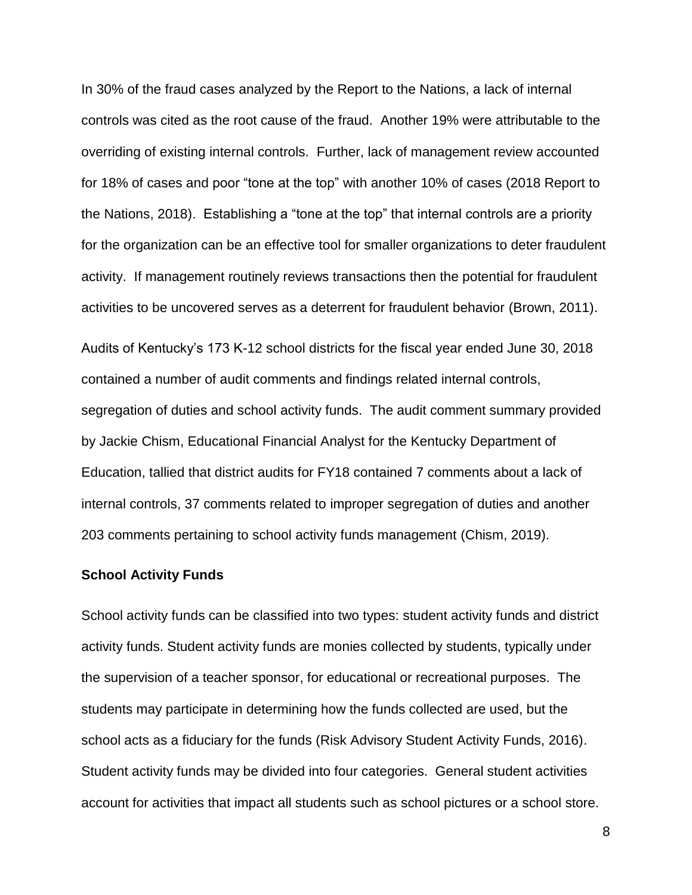In 30% of the fraud cases analyzed by the Report to the Nations, a lack of internal controls was cited as the root cause of the fraud. Another 19% were attributable to the overriding of existing internal controls. Further, lack of management review accounted for 18% of cases and poor "tone at the top" with another 10% of cases (2018 Report to the Nations, 2018). Establishing a "tone at the top" that internal controls are a priority for the organization can be an effective tool for smaller organizations to deter fraudulent activity. If management routinely reviews transactions then the potential for fraudulent activities to be uncovered serves as a deterrent for fraudulent behavior (Brown, 2011).

Audits of Kentucky's 173 K-12 school districts for the fiscal year ended June 30, 2018 contained a number of audit comments and findings related internal controls, segregation of duties and school activity funds. The audit comment summary provided by Jackie Chism, Educational Financial Analyst for the Kentucky Department of Education, tallied that district audits for FY18 contained 7 comments about a lack of internal controls, 37 comments related to improper segregation of duties and another 203 comments pertaining to school activity funds management (Chism, 2019).

#### **School Activity Funds**

School activity funds can be classified into two types: student activity funds and district activity funds. Student activity funds are monies collected by students, typically under the supervision of a teacher sponsor, for educational or recreational purposes. The students may participate in determining how the funds collected are used, but the school acts as a fiduciary for the funds (Risk Advisory Student Activity Funds, 2016). Student activity funds may be divided into four categories. General student activities account for activities that impact all students such as school pictures or a school store.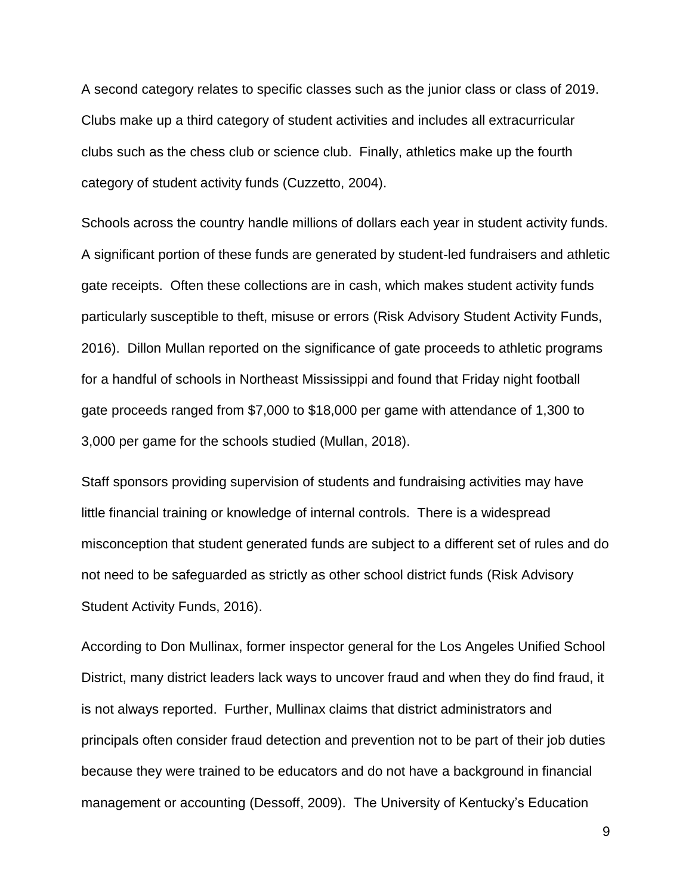A second category relates to specific classes such as the junior class or class of 2019. Clubs make up a third category of student activities and includes all extracurricular clubs such as the chess club or science club. Finally, athletics make up the fourth category of student activity funds (Cuzzetto, 2004).

Schools across the country handle millions of dollars each year in student activity funds. A significant portion of these funds are generated by student-led fundraisers and athletic gate receipts. Often these collections are in cash, which makes student activity funds particularly susceptible to theft, misuse or errors (Risk Advisory Student Activity Funds, 2016). Dillon Mullan reported on the significance of gate proceeds to athletic programs for a handful of schools in Northeast Mississippi and found that Friday night football gate proceeds ranged from \$7,000 to \$18,000 per game with attendance of 1,300 to 3,000 per game for the schools studied (Mullan, 2018).

Staff sponsors providing supervision of students and fundraising activities may have little financial training or knowledge of internal controls. There is a widespread misconception that student generated funds are subject to a different set of rules and do not need to be safeguarded as strictly as other school district funds (Risk Advisory Student Activity Funds, 2016).

According to Don Mullinax, former inspector general for the Los Angeles Unified School District, many district leaders lack ways to uncover fraud and when they do find fraud, it is not always reported. Further, Mullinax claims that district administrators and principals often consider fraud detection and prevention not to be part of their job duties because they were trained to be educators and do not have a background in financial management or accounting (Dessoff, 2009). The University of Kentucky's Education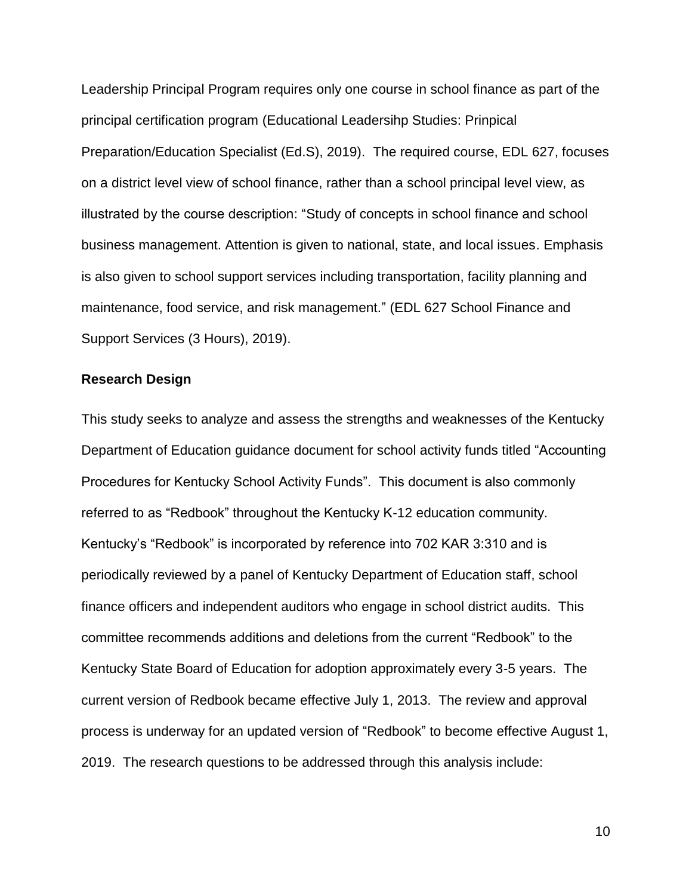Leadership Principal Program requires only one course in school finance as part of the principal certification program (Educational Leadersihp Studies: Prinpical Preparation/Education Specialist (Ed.S), 2019). The required course, EDL 627, focuses on a district level view of school finance, rather than a school principal level view, as illustrated by the course description: "Study of concepts in school finance and school business management. Attention is given to national, state, and local issues. Emphasis is also given to school support services including transportation, facility planning and maintenance, food service, and risk management." (EDL 627 School Finance and Support Services (3 Hours), 2019).

# **Research Design**

This study seeks to analyze and assess the strengths and weaknesses of the Kentucky Department of Education guidance document for school activity funds titled "Accounting Procedures for Kentucky School Activity Funds". This document is also commonly referred to as "Redbook" throughout the Kentucky K-12 education community. Kentucky's "Redbook" is incorporated by reference into 702 KAR 3:310 and is periodically reviewed by a panel of Kentucky Department of Education staff, school finance officers and independent auditors who engage in school district audits. This committee recommends additions and deletions from the current "Redbook" to the Kentucky State Board of Education for adoption approximately every 3-5 years. The current version of Redbook became effective July 1, 2013. The review and approval process is underway for an updated version of "Redbook" to become effective August 1, 2019. The research questions to be addressed through this analysis include: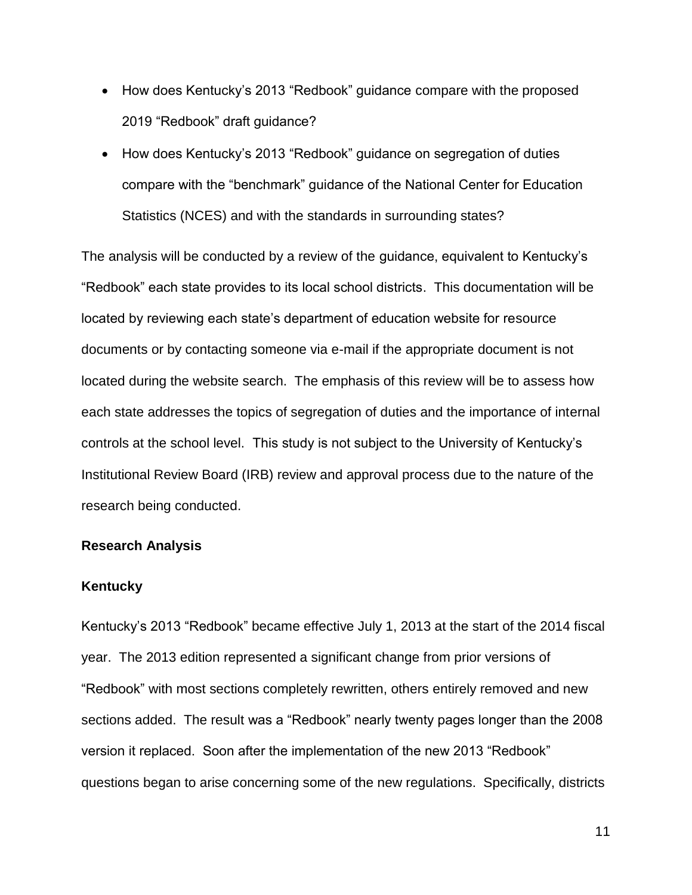- How does Kentucky's 2013 "Redbook" guidance compare with the proposed 2019 "Redbook" draft guidance?
- How does Kentucky's 2013 "Redbook" guidance on segregation of duties compare with the "benchmark" guidance of the National Center for Education Statistics (NCES) and with the standards in surrounding states?

The analysis will be conducted by a review of the guidance, equivalent to Kentucky's "Redbook" each state provides to its local school districts. This documentation will be located by reviewing each state's department of education website for resource documents or by contacting someone via e-mail if the appropriate document is not located during the website search. The emphasis of this review will be to assess how each state addresses the topics of segregation of duties and the importance of internal controls at the school level. This study is not subject to the University of Kentucky's Institutional Review Board (IRB) review and approval process due to the nature of the research being conducted.

### **Research Analysis**

# **Kentucky**

Kentucky's 2013 "Redbook" became effective July 1, 2013 at the start of the 2014 fiscal year. The 2013 edition represented a significant change from prior versions of "Redbook" with most sections completely rewritten, others entirely removed and new sections added. The result was a "Redbook" nearly twenty pages longer than the 2008 version it replaced. Soon after the implementation of the new 2013 "Redbook" questions began to arise concerning some of the new regulations. Specifically, districts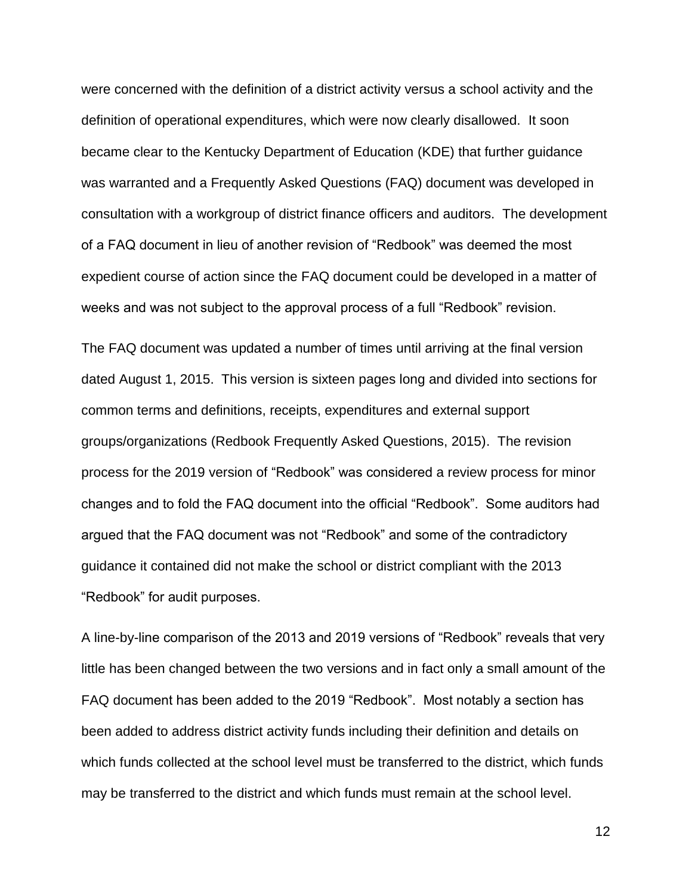were concerned with the definition of a district activity versus a school activity and the definition of operational expenditures, which were now clearly disallowed. It soon became clear to the Kentucky Department of Education (KDE) that further guidance was warranted and a Frequently Asked Questions (FAQ) document was developed in consultation with a workgroup of district finance officers and auditors. The development of a FAQ document in lieu of another revision of "Redbook" was deemed the most expedient course of action since the FAQ document could be developed in a matter of weeks and was not subject to the approval process of a full "Redbook" revision.

The FAQ document was updated a number of times until arriving at the final version dated August 1, 2015. This version is sixteen pages long and divided into sections for common terms and definitions, receipts, expenditures and external support groups/organizations (Redbook Frequently Asked Questions, 2015). The revision process for the 2019 version of "Redbook" was considered a review process for minor changes and to fold the FAQ document into the official "Redbook". Some auditors had argued that the FAQ document was not "Redbook" and some of the contradictory guidance it contained did not make the school or district compliant with the 2013 "Redbook" for audit purposes.

A line-by-line comparison of the 2013 and 2019 versions of "Redbook" reveals that very little has been changed between the two versions and in fact only a small amount of the FAQ document has been added to the 2019 "Redbook". Most notably a section has been added to address district activity funds including their definition and details on which funds collected at the school level must be transferred to the district, which funds may be transferred to the district and which funds must remain at the school level.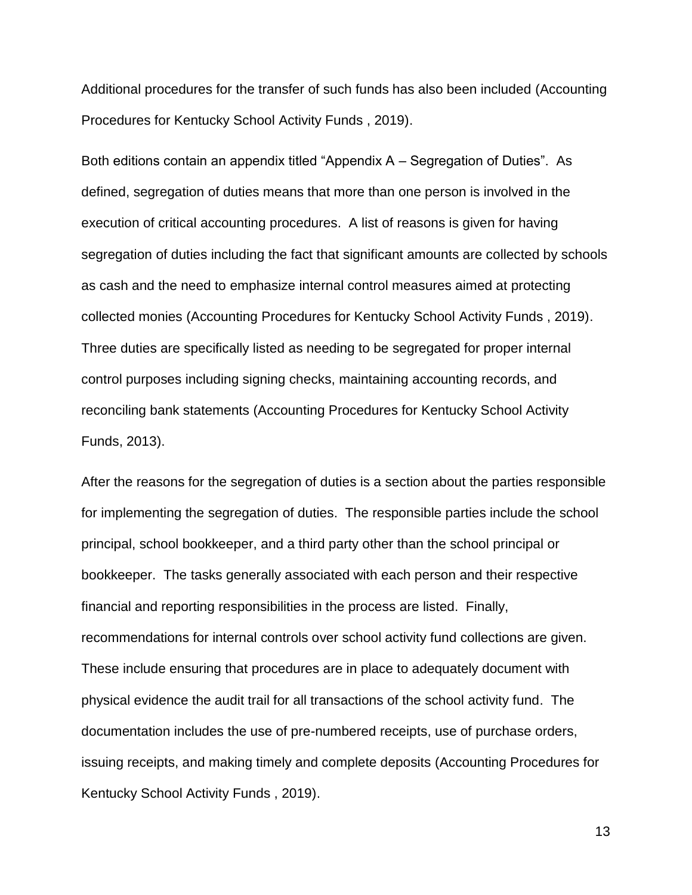Additional procedures for the transfer of such funds has also been included (Accounting Procedures for Kentucky School Activity Funds , 2019).

Both editions contain an appendix titled "Appendix A – Segregation of Duties". As defined, segregation of duties means that more than one person is involved in the execution of critical accounting procedures. A list of reasons is given for having segregation of duties including the fact that significant amounts are collected by schools as cash and the need to emphasize internal control measures aimed at protecting collected monies (Accounting Procedures for Kentucky School Activity Funds , 2019). Three duties are specifically listed as needing to be segregated for proper internal control purposes including signing checks, maintaining accounting records, and reconciling bank statements (Accounting Procedures for Kentucky School Activity Funds, 2013).

After the reasons for the segregation of duties is a section about the parties responsible for implementing the segregation of duties. The responsible parties include the school principal, school bookkeeper, and a third party other than the school principal or bookkeeper. The tasks generally associated with each person and their respective financial and reporting responsibilities in the process are listed. Finally, recommendations for internal controls over school activity fund collections are given. These include ensuring that procedures are in place to adequately document with physical evidence the audit trail for all transactions of the school activity fund. The documentation includes the use of pre-numbered receipts, use of purchase orders, issuing receipts, and making timely and complete deposits (Accounting Procedures for Kentucky School Activity Funds , 2019).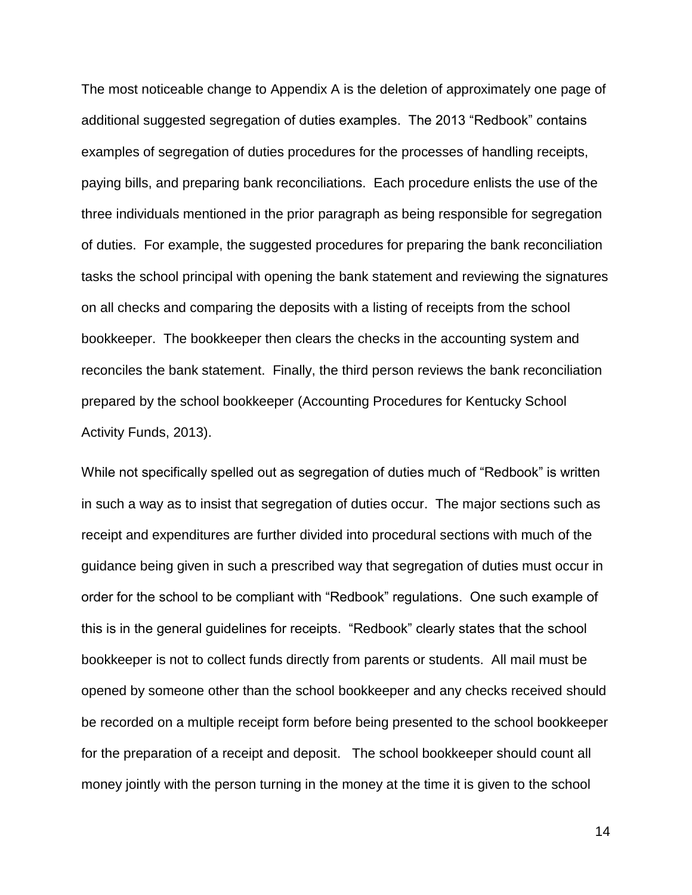The most noticeable change to Appendix A is the deletion of approximately one page of additional suggested segregation of duties examples. The 2013 "Redbook" contains examples of segregation of duties procedures for the processes of handling receipts, paying bills, and preparing bank reconciliations. Each procedure enlists the use of the three individuals mentioned in the prior paragraph as being responsible for segregation of duties. For example, the suggested procedures for preparing the bank reconciliation tasks the school principal with opening the bank statement and reviewing the signatures on all checks and comparing the deposits with a listing of receipts from the school bookkeeper. The bookkeeper then clears the checks in the accounting system and reconciles the bank statement. Finally, the third person reviews the bank reconciliation prepared by the school bookkeeper (Accounting Procedures for Kentucky School Activity Funds, 2013).

While not specifically spelled out as segregation of duties much of "Redbook" is written in such a way as to insist that segregation of duties occur. The major sections such as receipt and expenditures are further divided into procedural sections with much of the guidance being given in such a prescribed way that segregation of duties must occur in order for the school to be compliant with "Redbook" regulations. One such example of this is in the general guidelines for receipts. "Redbook" clearly states that the school bookkeeper is not to collect funds directly from parents or students. All mail must be opened by someone other than the school bookkeeper and any checks received should be recorded on a multiple receipt form before being presented to the school bookkeeper for the preparation of a receipt and deposit. The school bookkeeper should count all money jointly with the person turning in the money at the time it is given to the school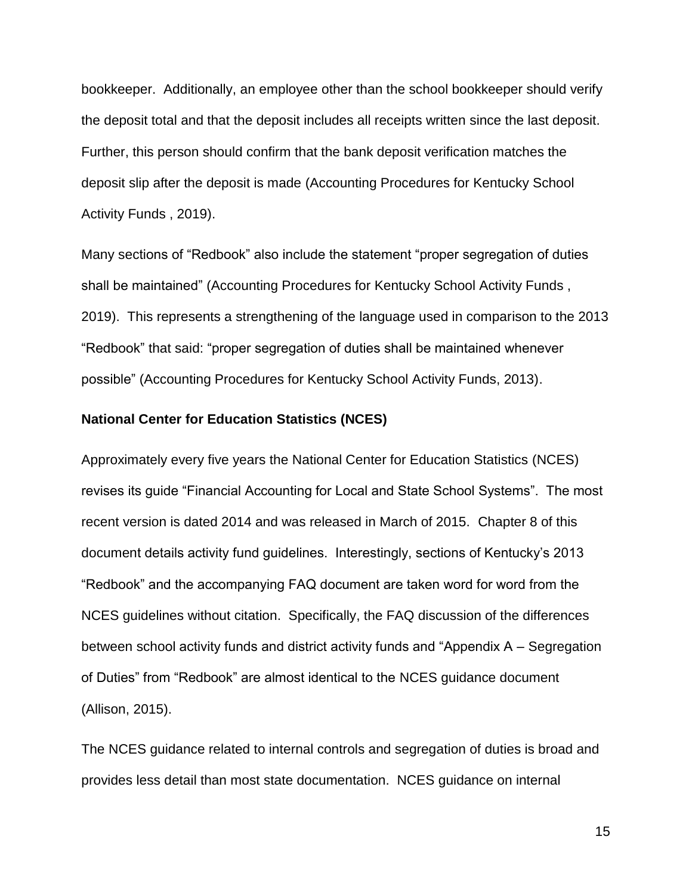bookkeeper. Additionally, an employee other than the school bookkeeper should verify the deposit total and that the deposit includes all receipts written since the last deposit. Further, this person should confirm that the bank deposit verification matches the deposit slip after the deposit is made (Accounting Procedures for Kentucky School Activity Funds , 2019).

Many sections of "Redbook" also include the statement "proper segregation of duties shall be maintained" (Accounting Procedures for Kentucky School Activity Funds , 2019). This represents a strengthening of the language used in comparison to the 2013 "Redbook" that said: "proper segregation of duties shall be maintained whenever possible" (Accounting Procedures for Kentucky School Activity Funds, 2013).

# **National Center for Education Statistics (NCES)**

Approximately every five years the National Center for Education Statistics (NCES) revises its guide "Financial Accounting for Local and State School Systems". The most recent version is dated 2014 and was released in March of 2015. Chapter 8 of this document details activity fund guidelines. Interestingly, sections of Kentucky's 2013 "Redbook" and the accompanying FAQ document are taken word for word from the NCES guidelines without citation. Specifically, the FAQ discussion of the differences between school activity funds and district activity funds and "Appendix A – Segregation of Duties" from "Redbook" are almost identical to the NCES guidance document (Allison, 2015).

The NCES guidance related to internal controls and segregation of duties is broad and provides less detail than most state documentation. NCES guidance on internal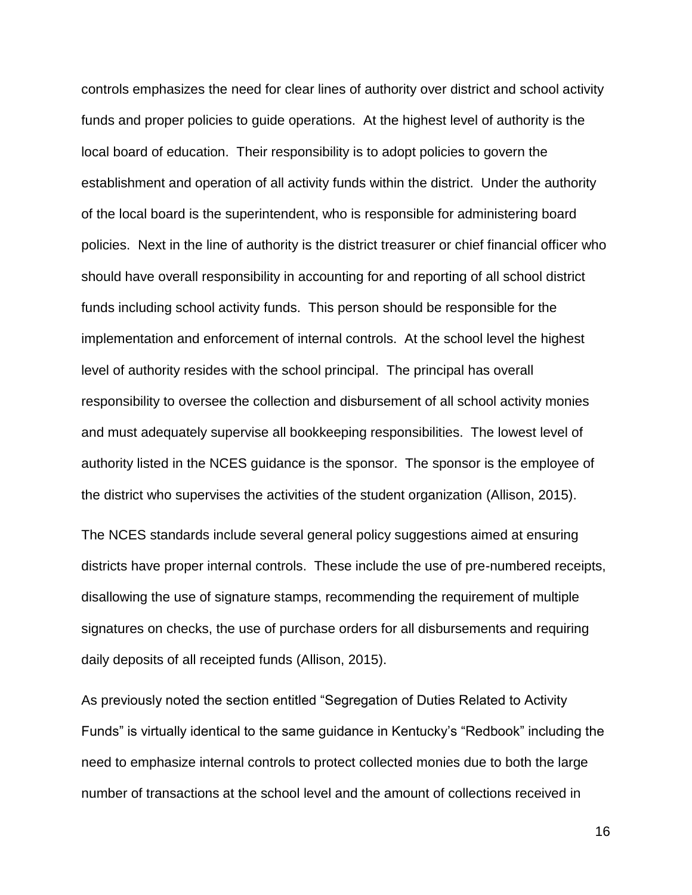controls emphasizes the need for clear lines of authority over district and school activity funds and proper policies to guide operations. At the highest level of authority is the local board of education. Their responsibility is to adopt policies to govern the establishment and operation of all activity funds within the district. Under the authority of the local board is the superintendent, who is responsible for administering board policies. Next in the line of authority is the district treasurer or chief financial officer who should have overall responsibility in accounting for and reporting of all school district funds including school activity funds. This person should be responsible for the implementation and enforcement of internal controls. At the school level the highest level of authority resides with the school principal. The principal has overall responsibility to oversee the collection and disbursement of all school activity monies and must adequately supervise all bookkeeping responsibilities. The lowest level of authority listed in the NCES guidance is the sponsor. The sponsor is the employee of the district who supervises the activities of the student organization (Allison, 2015).

The NCES standards include several general policy suggestions aimed at ensuring districts have proper internal controls. These include the use of pre-numbered receipts, disallowing the use of signature stamps, recommending the requirement of multiple signatures on checks, the use of purchase orders for all disbursements and requiring daily deposits of all receipted funds (Allison, 2015).

As previously noted the section entitled "Segregation of Duties Related to Activity Funds" is virtually identical to the same guidance in Kentucky's "Redbook" including the need to emphasize internal controls to protect collected monies due to both the large number of transactions at the school level and the amount of collections received in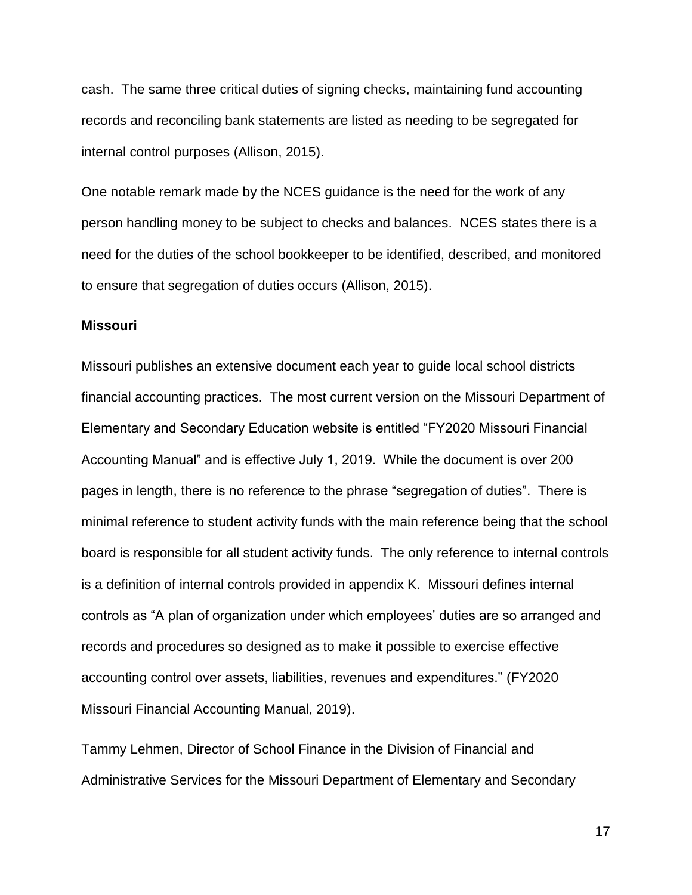cash. The same three critical duties of signing checks, maintaining fund accounting records and reconciling bank statements are listed as needing to be segregated for internal control purposes (Allison, 2015).

One notable remark made by the NCES guidance is the need for the work of any person handling money to be subject to checks and balances. NCES states there is a need for the duties of the school bookkeeper to be identified, described, and monitored to ensure that segregation of duties occurs (Allison, 2015).

# **Missouri**

Missouri publishes an extensive document each year to guide local school districts financial accounting practices. The most current version on the Missouri Department of Elementary and Secondary Education website is entitled "FY2020 Missouri Financial Accounting Manual" and is effective July 1, 2019. While the document is over 200 pages in length, there is no reference to the phrase "segregation of duties". There is minimal reference to student activity funds with the main reference being that the school board is responsible for all student activity funds. The only reference to internal controls is a definition of internal controls provided in appendix K. Missouri defines internal controls as "A plan of organization under which employees' duties are so arranged and records and procedures so designed as to make it possible to exercise effective accounting control over assets, liabilities, revenues and expenditures." (FY2020 Missouri Financial Accounting Manual, 2019).

Tammy Lehmen, Director of School Finance in the Division of Financial and Administrative Services for the Missouri Department of Elementary and Secondary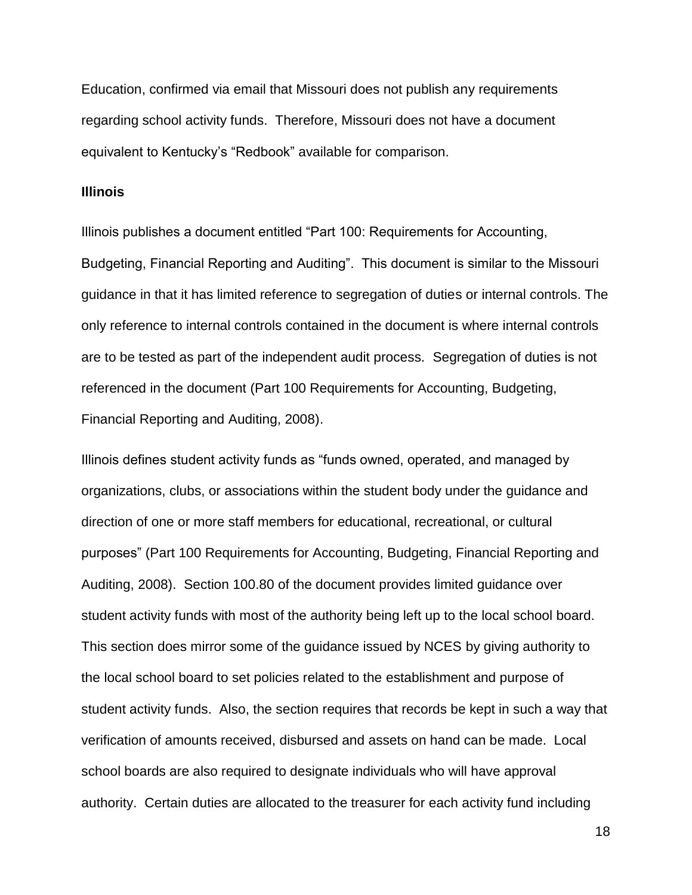Education, confirmed via email that Missouri does not publish any requirements regarding school activity funds. Therefore, Missouri does not have a document equivalent to Kentucky's "Redbook" available for comparison.

#### **Illinois**

Illinois publishes a document entitled "Part 100: Requirements for Accounting, Budgeting, Financial Reporting and Auditing". This document is similar to the Missouri guidance in that it has limited reference to segregation of duties or internal controls. The only reference to internal controls contained in the document is where internal controls are to be tested as part of the independent audit process. Segregation of duties is not referenced in the document (Part 100 Requirements for Accounting, Budgeting, Financial Reporting and Auditing, 2008).

Illinois defines student activity funds as "funds owned, operated, and managed by organizations, clubs, or associations within the student body under the guidance and direction of one or more staff members for educational, recreational, or cultural purposes" (Part 100 Requirements for Accounting, Budgeting, Financial Reporting and Auditing, 2008). Section 100.80 of the document provides limited guidance over student activity funds with most of the authority being left up to the local school board. This section does mirror some of the guidance issued by NCES by giving authority to the local school board to set policies related to the establishment and purpose of student activity funds. Also, the section requires that records be kept in such a way that verification of amounts received, disbursed and assets on hand can be made. Local school boards are also required to designate individuals who will have approval authority. Certain duties are allocated to the treasurer for each activity fund including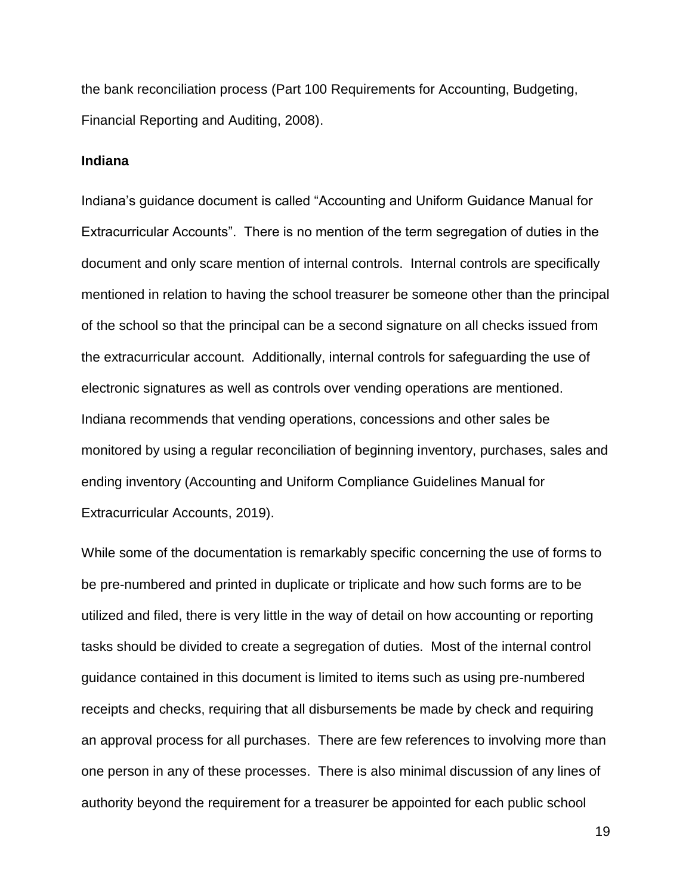the bank reconciliation process (Part 100 Requirements for Accounting, Budgeting, Financial Reporting and Auditing, 2008).

#### **Indiana**

Indiana's guidance document is called "Accounting and Uniform Guidance Manual for Extracurricular Accounts". There is no mention of the term segregation of duties in the document and only scare mention of internal controls. Internal controls are specifically mentioned in relation to having the school treasurer be someone other than the principal of the school so that the principal can be a second signature on all checks issued from the extracurricular account. Additionally, internal controls for safeguarding the use of electronic signatures as well as controls over vending operations are mentioned. Indiana recommends that vending operations, concessions and other sales be monitored by using a regular reconciliation of beginning inventory, purchases, sales and ending inventory (Accounting and Uniform Compliance Guidelines Manual for Extracurricular Accounts, 2019).

While some of the documentation is remarkably specific concerning the use of forms to be pre-numbered and printed in duplicate or triplicate and how such forms are to be utilized and filed, there is very little in the way of detail on how accounting or reporting tasks should be divided to create a segregation of duties. Most of the internal control guidance contained in this document is limited to items such as using pre-numbered receipts and checks, requiring that all disbursements be made by check and requiring an approval process for all purchases. There are few references to involving more than one person in any of these processes. There is also minimal discussion of any lines of authority beyond the requirement for a treasurer be appointed for each public school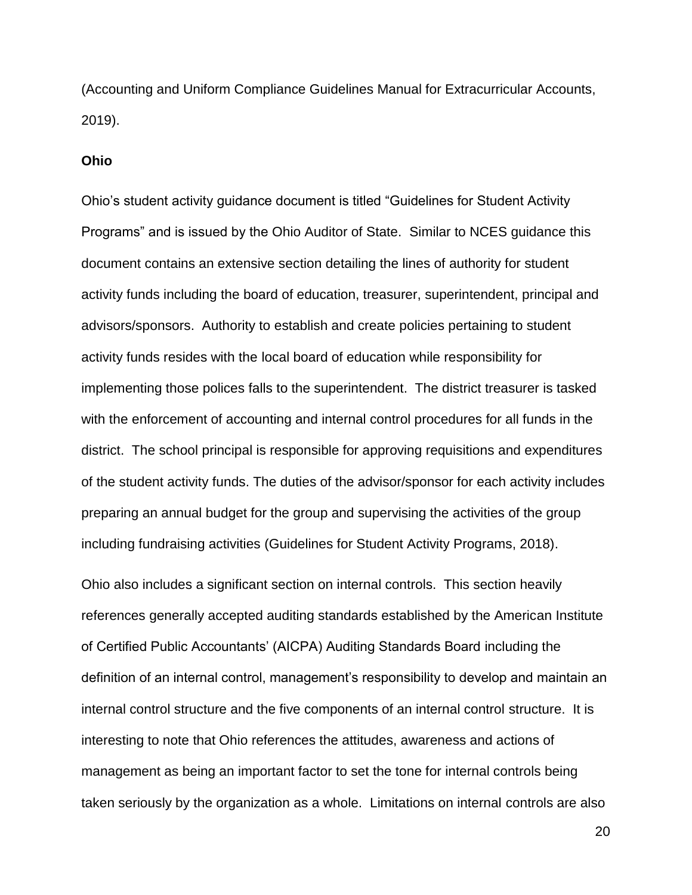(Accounting and Uniform Compliance Guidelines Manual for Extracurricular Accounts, 2019).

#### **Ohio**

Ohio's student activity guidance document is titled "Guidelines for Student Activity Programs" and is issued by the Ohio Auditor of State. Similar to NCES guidance this document contains an extensive section detailing the lines of authority for student activity funds including the board of education, treasurer, superintendent, principal and advisors/sponsors. Authority to establish and create policies pertaining to student activity funds resides with the local board of education while responsibility for implementing those polices falls to the superintendent. The district treasurer is tasked with the enforcement of accounting and internal control procedures for all funds in the district. The school principal is responsible for approving requisitions and expenditures of the student activity funds. The duties of the advisor/sponsor for each activity includes preparing an annual budget for the group and supervising the activities of the group including fundraising activities (Guidelines for Student Activity Programs, 2018).

Ohio also includes a significant section on internal controls. This section heavily references generally accepted auditing standards established by the American Institute of Certified Public Accountants' (AICPA) Auditing Standards Board including the definition of an internal control, management's responsibility to develop and maintain an internal control structure and the five components of an internal control structure. It is interesting to note that Ohio references the attitudes, awareness and actions of management as being an important factor to set the tone for internal controls being taken seriously by the organization as a whole. Limitations on internal controls are also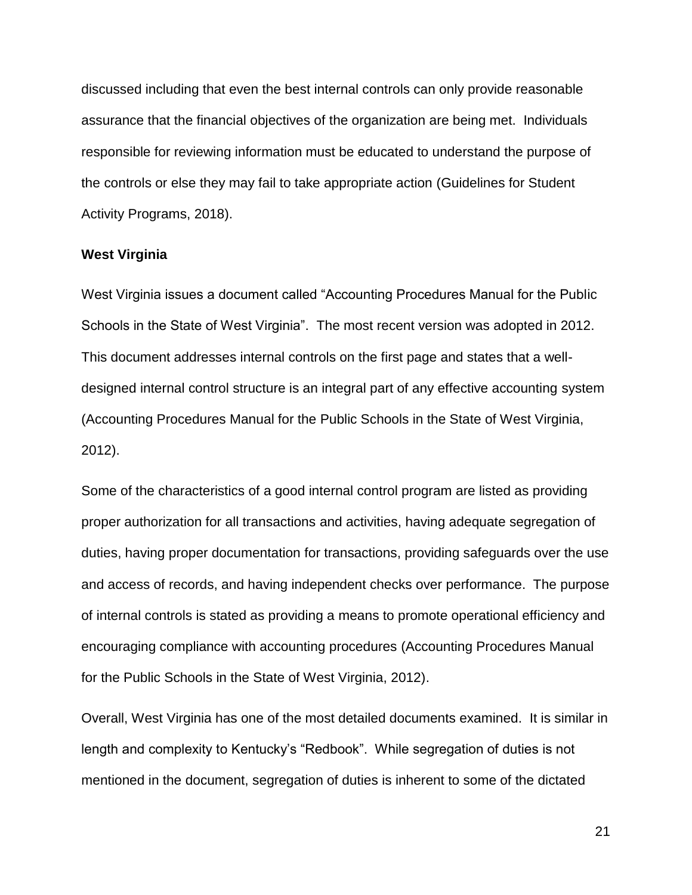discussed including that even the best internal controls can only provide reasonable assurance that the financial objectives of the organization are being met. Individuals responsible for reviewing information must be educated to understand the purpose of the controls or else they may fail to take appropriate action (Guidelines for Student Activity Programs, 2018).

# **West Virginia**

West Virginia issues a document called "Accounting Procedures Manual for the Public Schools in the State of West Virginia". The most recent version was adopted in 2012. This document addresses internal controls on the first page and states that a welldesigned internal control structure is an integral part of any effective accounting system (Accounting Procedures Manual for the Public Schools in the State of West Virginia, 2012).

Some of the characteristics of a good internal control program are listed as providing proper authorization for all transactions and activities, having adequate segregation of duties, having proper documentation for transactions, providing safeguards over the use and access of records, and having independent checks over performance. The purpose of internal controls is stated as providing a means to promote operational efficiency and encouraging compliance with accounting procedures (Accounting Procedures Manual for the Public Schools in the State of West Virginia, 2012).

Overall, West Virginia has one of the most detailed documents examined. It is similar in length and complexity to Kentucky's "Redbook". While segregation of duties is not mentioned in the document, segregation of duties is inherent to some of the dictated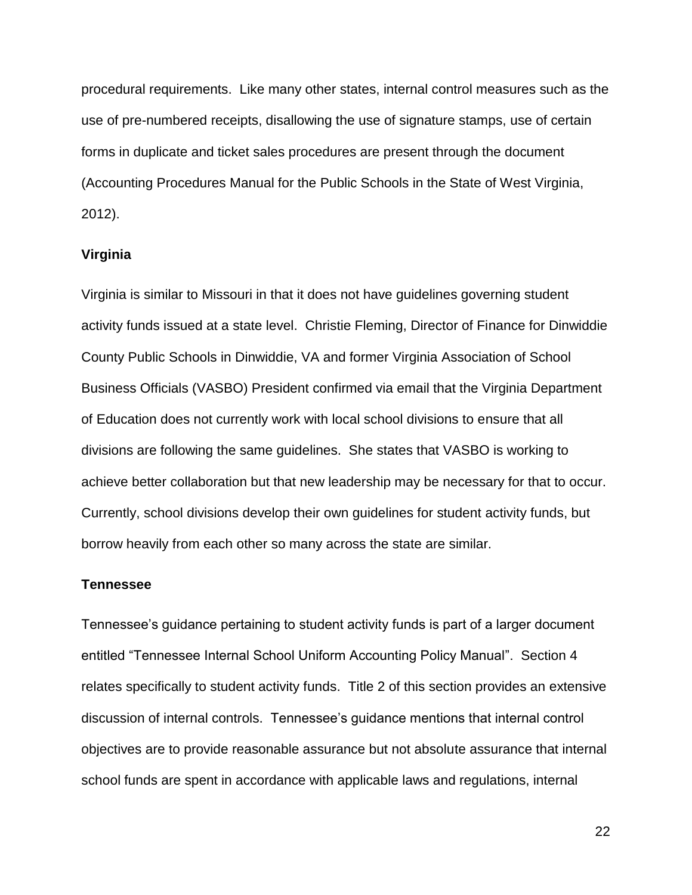procedural requirements. Like many other states, internal control measures such as the use of pre-numbered receipts, disallowing the use of signature stamps, use of certain forms in duplicate and ticket sales procedures are present through the document (Accounting Procedures Manual for the Public Schools in the State of West Virginia, 2012).

# **Virginia**

Virginia is similar to Missouri in that it does not have guidelines governing student activity funds issued at a state level. Christie Fleming, Director of Finance for Dinwiddie County Public Schools in Dinwiddie, VA and former Virginia Association of School Business Officials (VASBO) President confirmed via email that the Virginia Department of Education does not currently work with local school divisions to ensure that all divisions are following the same guidelines. She states that VASBO is working to achieve better collaboration but that new leadership may be necessary for that to occur. Currently, school divisions develop their own guidelines for student activity funds, but borrow heavily from each other so many across the state are similar.

# **Tennessee**

Tennessee's guidance pertaining to student activity funds is part of a larger document entitled "Tennessee Internal School Uniform Accounting Policy Manual". Section 4 relates specifically to student activity funds. Title 2 of this section provides an extensive discussion of internal controls. Tennessee's guidance mentions that internal control objectives are to provide reasonable assurance but not absolute assurance that internal school funds are spent in accordance with applicable laws and regulations, internal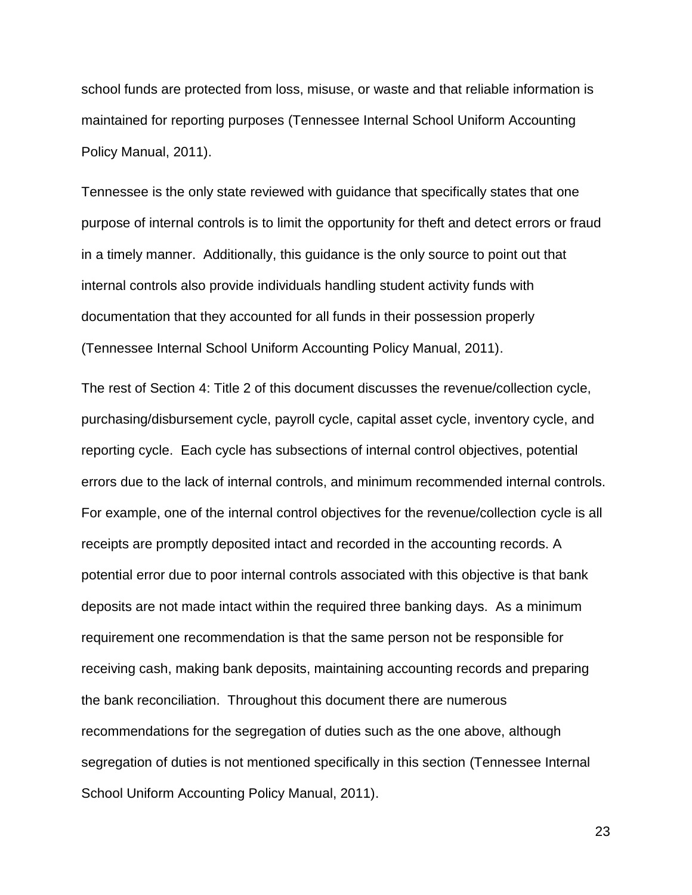school funds are protected from loss, misuse, or waste and that reliable information is maintained for reporting purposes (Tennessee Internal School Uniform Accounting Policy Manual, 2011).

Tennessee is the only state reviewed with guidance that specifically states that one purpose of internal controls is to limit the opportunity for theft and detect errors or fraud in a timely manner. Additionally, this guidance is the only source to point out that internal controls also provide individuals handling student activity funds with documentation that they accounted for all funds in their possession properly (Tennessee Internal School Uniform Accounting Policy Manual, 2011).

The rest of Section 4: Title 2 of this document discusses the revenue/collection cycle, purchasing/disbursement cycle, payroll cycle, capital asset cycle, inventory cycle, and reporting cycle. Each cycle has subsections of internal control objectives, potential errors due to the lack of internal controls, and minimum recommended internal controls. For example, one of the internal control objectives for the revenue/collection cycle is all receipts are promptly deposited intact and recorded in the accounting records. A potential error due to poor internal controls associated with this objective is that bank deposits are not made intact within the required three banking days. As a minimum requirement one recommendation is that the same person not be responsible for receiving cash, making bank deposits, maintaining accounting records and preparing the bank reconciliation. Throughout this document there are numerous recommendations for the segregation of duties such as the one above, although segregation of duties is not mentioned specifically in this section (Tennessee Internal School Uniform Accounting Policy Manual, 2011).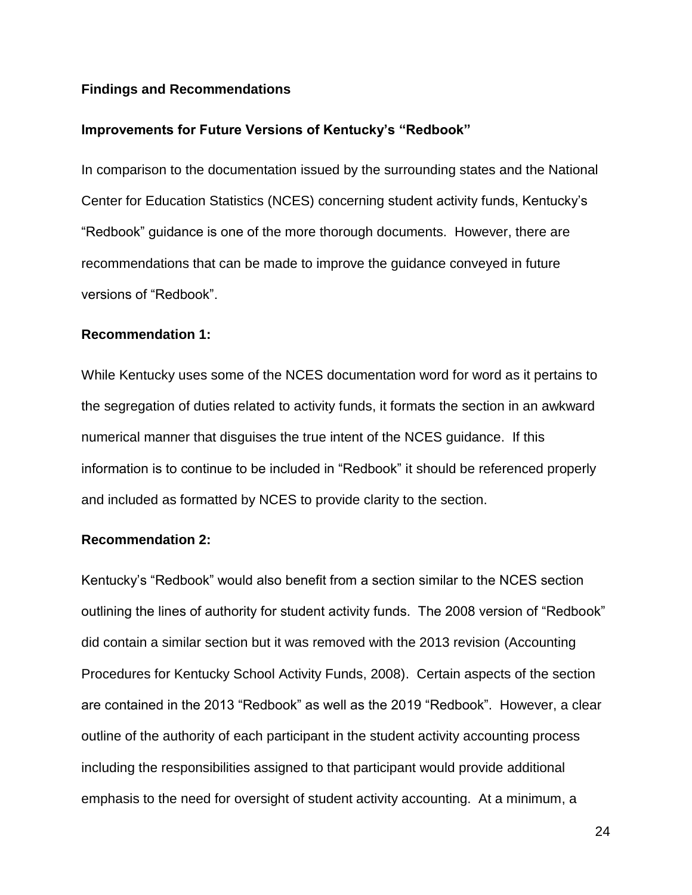# **Findings and Recommendations**

#### **Improvements for Future Versions of Kentucky's "Redbook"**

In comparison to the documentation issued by the surrounding states and the National Center for Education Statistics (NCES) concerning student activity funds, Kentucky's "Redbook" guidance is one of the more thorough documents. However, there are recommendations that can be made to improve the guidance conveyed in future versions of "Redbook".

# **Recommendation 1:**

While Kentucky uses some of the NCES documentation word for word as it pertains to the segregation of duties related to activity funds, it formats the section in an awkward numerical manner that disguises the true intent of the NCES guidance. If this information is to continue to be included in "Redbook" it should be referenced properly and included as formatted by NCES to provide clarity to the section.

# **Recommendation 2:**

Kentucky's "Redbook" would also benefit from a section similar to the NCES section outlining the lines of authority for student activity funds. The 2008 version of "Redbook" did contain a similar section but it was removed with the 2013 revision (Accounting Procedures for Kentucky School Activity Funds, 2008). Certain aspects of the section are contained in the 2013 "Redbook" as well as the 2019 "Redbook". However, a clear outline of the authority of each participant in the student activity accounting process including the responsibilities assigned to that participant would provide additional emphasis to the need for oversight of student activity accounting. At a minimum, a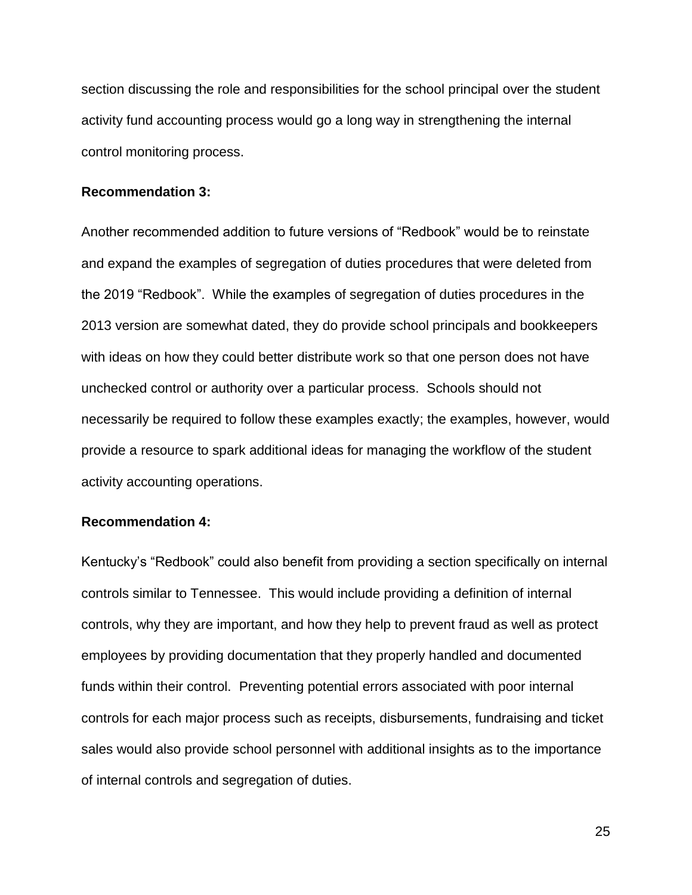section discussing the role and responsibilities for the school principal over the student activity fund accounting process would go a long way in strengthening the internal control monitoring process.

#### **Recommendation 3:**

Another recommended addition to future versions of "Redbook" would be to reinstate and expand the examples of segregation of duties procedures that were deleted from the 2019 "Redbook". While the examples of segregation of duties procedures in the 2013 version are somewhat dated, they do provide school principals and bookkeepers with ideas on how they could better distribute work so that one person does not have unchecked control or authority over a particular process. Schools should not necessarily be required to follow these examples exactly; the examples, however, would provide a resource to spark additional ideas for managing the workflow of the student activity accounting operations.

# **Recommendation 4:**

Kentucky's "Redbook" could also benefit from providing a section specifically on internal controls similar to Tennessee. This would include providing a definition of internal controls, why they are important, and how they help to prevent fraud as well as protect employees by providing documentation that they properly handled and documented funds within their control. Preventing potential errors associated with poor internal controls for each major process such as receipts, disbursements, fundraising and ticket sales would also provide school personnel with additional insights as to the importance of internal controls and segregation of duties.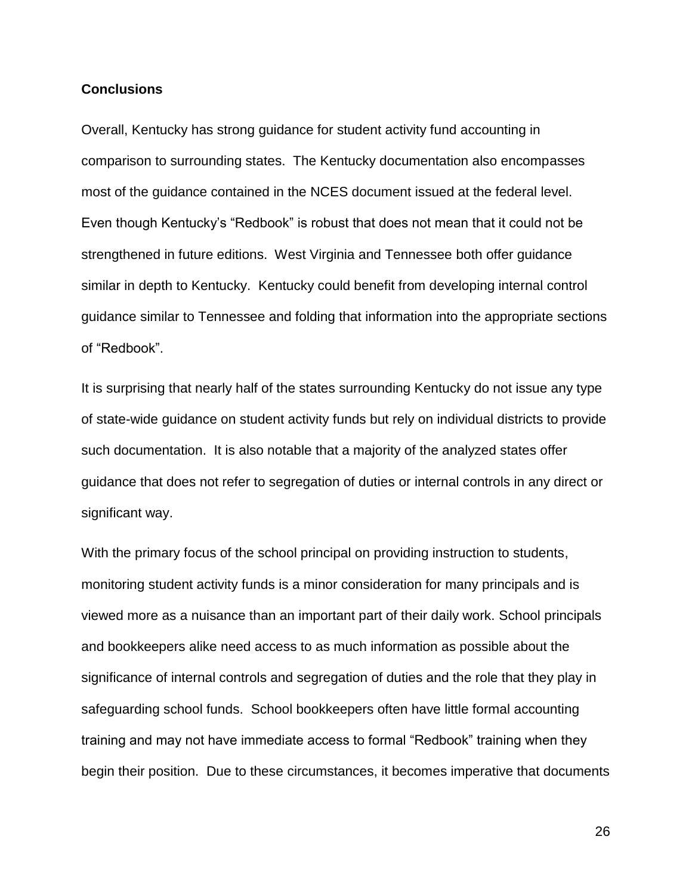# **Conclusions**

Overall, Kentucky has strong guidance for student activity fund accounting in comparison to surrounding states. The Kentucky documentation also encompasses most of the guidance contained in the NCES document issued at the federal level. Even though Kentucky's "Redbook" is robust that does not mean that it could not be strengthened in future editions. West Virginia and Tennessee both offer guidance similar in depth to Kentucky. Kentucky could benefit from developing internal control guidance similar to Tennessee and folding that information into the appropriate sections of "Redbook".

It is surprising that nearly half of the states surrounding Kentucky do not issue any type of state-wide guidance on student activity funds but rely on individual districts to provide such documentation. It is also notable that a majority of the analyzed states offer guidance that does not refer to segregation of duties or internal controls in any direct or significant way.

With the primary focus of the school principal on providing instruction to students, monitoring student activity funds is a minor consideration for many principals and is viewed more as a nuisance than an important part of their daily work. School principals and bookkeepers alike need access to as much information as possible about the significance of internal controls and segregation of duties and the role that they play in safeguarding school funds. School bookkeepers often have little formal accounting training and may not have immediate access to formal "Redbook" training when they begin their position. Due to these circumstances, it becomes imperative that documents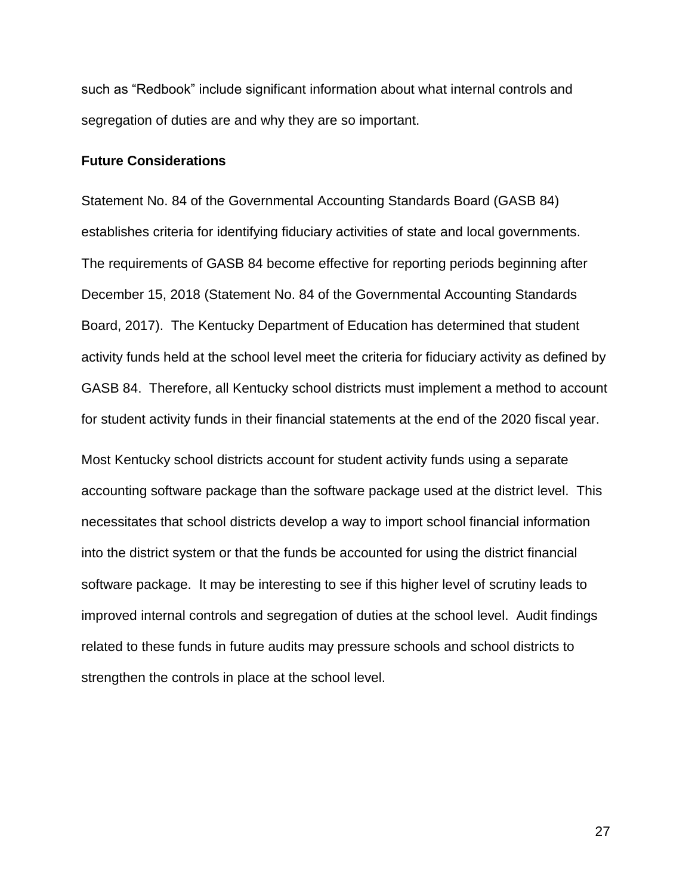such as "Redbook" include significant information about what internal controls and segregation of duties are and why they are so important.

# **Future Considerations**

Statement No. 84 of the Governmental Accounting Standards Board (GASB 84) establishes criteria for identifying fiduciary activities of state and local governments. The requirements of GASB 84 become effective for reporting periods beginning after December 15, 2018 (Statement No. 84 of the Governmental Accounting Standards Board, 2017). The Kentucky Department of Education has determined that student activity funds held at the school level meet the criteria for fiduciary activity as defined by GASB 84. Therefore, all Kentucky school districts must implement a method to account for student activity funds in their financial statements at the end of the 2020 fiscal year.

Most Kentucky school districts account for student activity funds using a separate accounting software package than the software package used at the district level. This necessitates that school districts develop a way to import school financial information into the district system or that the funds be accounted for using the district financial software package. It may be interesting to see if this higher level of scrutiny leads to improved internal controls and segregation of duties at the school level. Audit findings related to these funds in future audits may pressure schools and school districts to strengthen the controls in place at the school level.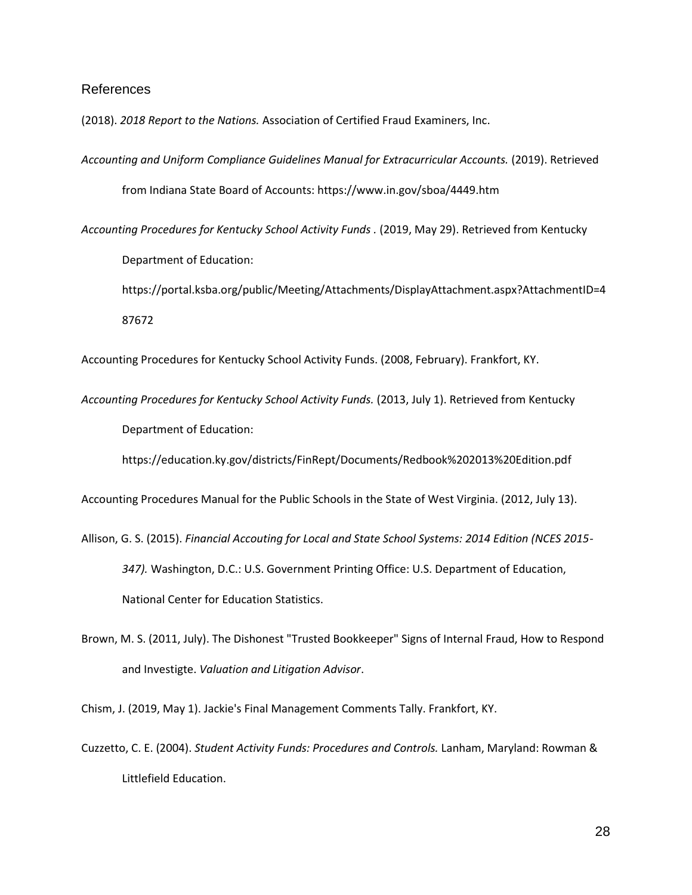### References

(2018). *2018 Report to the Nations.* Association of Certified Fraud Examiners, Inc.

*Accounting and Uniform Compliance Guidelines Manual for Extracurricular Accounts.* (2019). Retrieved from Indiana State Board of Accounts: https://www.in.gov/sboa/4449.htm

*Accounting Procedures for Kentucky School Activity Funds .* (2019, May 29). Retrieved from Kentucky

Department of Education:

https://portal.ksba.org/public/Meeting/Attachments/DisplayAttachment.aspx?AttachmentID=4 87672

Accounting Procedures for Kentucky School Activity Funds. (2008, February). Frankfort, KY.

*Accounting Procedures for Kentucky School Activity Funds.* (2013, July 1). Retrieved from Kentucky Department of Education:

https://education.ky.gov/districts/FinRept/Documents/Redbook%202013%20Edition.pdf

Accounting Procedures Manual for the Public Schools in the State of West Virginia. (2012, July 13).

- Allison, G. S. (2015). *Financial Accouting for Local and State School Systems: 2014 Edition (NCES 2015- 347).* Washington, D.C.: U.S. Government Printing Office: U.S. Department of Education, National Center for Education Statistics.
- Brown, M. S. (2011, July). The Dishonest "Trusted Bookkeeper" Signs of Internal Fraud, How to Respond and Investigte. *Valuation and Litigation Advisor*.

Chism, J. (2019, May 1). Jackie's Final Management Comments Tally. Frankfort, KY.

Cuzzetto, C. E. (2004). *Student Activity Funds: Procedures and Controls.* Lanham, Maryland: Rowman & Littlefield Education.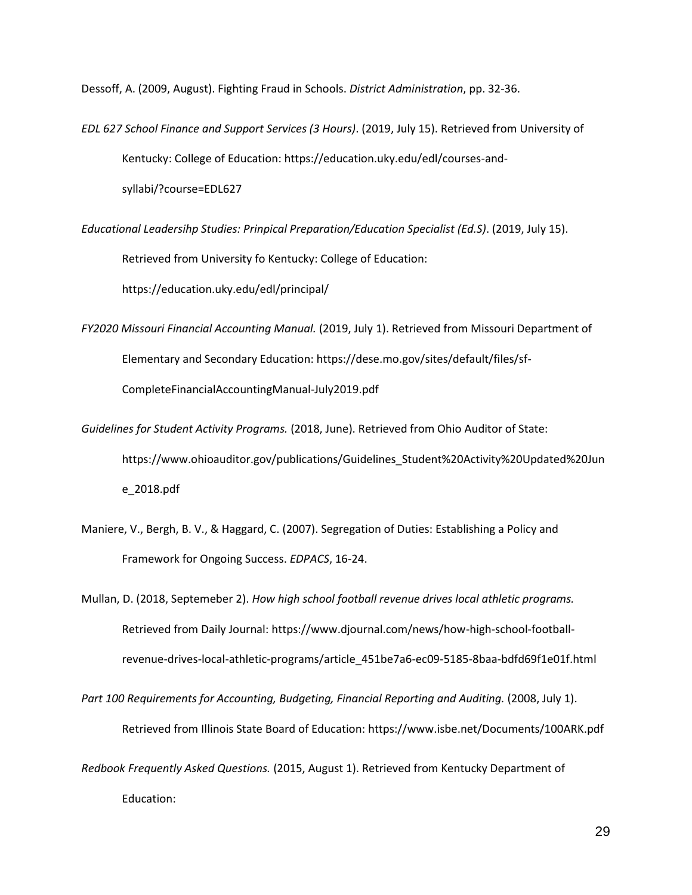Dessoff, A. (2009, August). Fighting Fraud in Schools. *District Administration*, pp. 32-36.

- *EDL 627 School Finance and Support Services (3 Hours)*. (2019, July 15). Retrieved from University of Kentucky: College of Education: https://education.uky.edu/edl/courses-andsyllabi/?course=EDL627
- *Educational Leadersihp Studies: Prinpical Preparation/Education Specialist (Ed.S)*. (2019, July 15). Retrieved from University fo Kentucky: College of Education: https://education.uky.edu/edl/principal/
- *FY2020 Missouri Financial Accounting Manual.* (2019, July 1). Retrieved from Missouri Department of Elementary and Secondary Education: https://dese.mo.gov/sites/default/files/sf-CompleteFinancialAccountingManual-July2019.pdf
- *Guidelines for Student Activity Programs.* (2018, June). Retrieved from Ohio Auditor of State: https://www.ohioauditor.gov/publications/Guidelines\_Student%20Activity%20Updated%20Jun e\_2018.pdf
- Maniere, V., Bergh, B. V., & Haggard, C. (2007). Segregation of Duties: Establishing a Policy and Framework for Ongoing Success. *EDPACS*, 16-24.
- Mullan, D. (2018, Septemeber 2). *How high school football revenue drives local athletic programs.* Retrieved from Daily Journal: https://www.djournal.com/news/how-high-school-footballrevenue-drives-local-athletic-programs/article\_451be7a6-ec09-5185-8baa-bdfd69f1e01f.html

*Part 100 Requirements for Accounting, Budgeting, Financial Reporting and Auditing.* (2008, July 1). Retrieved from Illinois State Board of Education: https://www.isbe.net/Documents/100ARK.pdf

*Redbook Frequently Asked Questions.* (2015, August 1). Retrieved from Kentucky Department of Education: